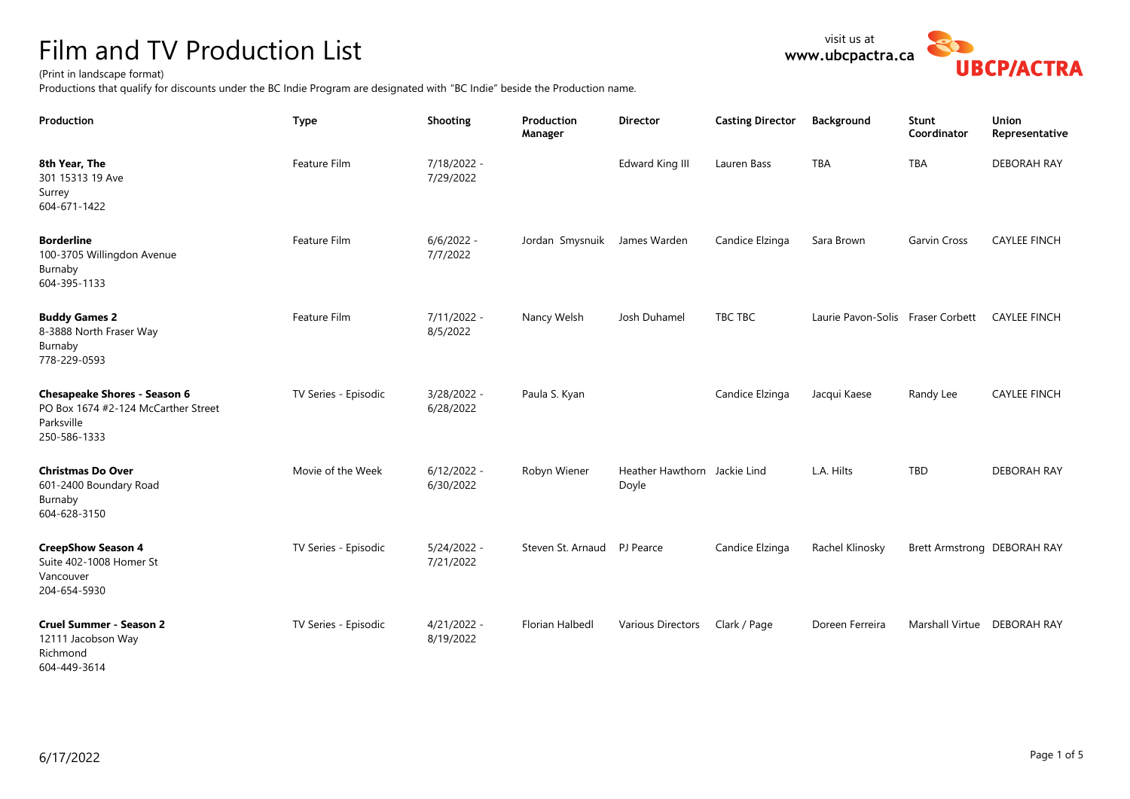## Film and TV Production List

## (Print in landscape format)

**8th Year, The** 301 15313 19 Ave

Surrey 604-671-1422

Productions that qualify for discounts under the BC Indie Program are designated with "BC Indie" beside the Production name.

Feature Film 7/18/2022 -

7/29/2022

**Production Type Shooting Production** 

| <b>Borderline</b><br>100-3705 Willingdon Avenue<br>Burnaby<br>604-395-1133                               | Feature Film         | $6/6/2022 -$<br>7/7/2022   | Jordan Smysnuik James Warden |                                       | Candice Elzinga | Sara Brown                        | <b>Garvin Cross</b>         | <b>CAYLEE FINCH</b> |
|----------------------------------------------------------------------------------------------------------|----------------------|----------------------------|------------------------------|---------------------------------------|-----------------|-----------------------------------|-----------------------------|---------------------|
| <b>Buddy Games 2</b><br>8-3888 North Fraser Way<br>Burnaby<br>778-229-0593                               | Feature Film         | 7/11/2022 -<br>8/5/2022    | Nancy Welsh                  | Josh Duhamel                          | TBC TBC         | Laurie Pavon-Solis Fraser Corbett |                             | <b>CAYLEE FINCH</b> |
| <b>Chesapeake Shores - Season 6</b><br>PO Box 1674 #2-124 McCarther Street<br>Parksville<br>250-586-1333 | TV Series - Episodic | 3/28/2022 -<br>6/28/2022   | Paula S. Kyan                |                                       | Candice Elzinga | Jacqui Kaese                      | Randy Lee                   | <b>CAYLEE FINCH</b> |
| <b>Christmas Do Over</b><br>601-2400 Boundary Road<br>Burnaby<br>604-628-3150                            | Movie of the Week    | $6/12/2022 -$<br>6/30/2022 | Robyn Wiener                 | Heather Hawthorn Jackie Lind<br>Doyle |                 | L.A. Hilts                        | TBD                         | <b>DEBORAH RAY</b>  |
| <b>CreepShow Season 4</b><br>Suite 402-1008 Homer St<br>Vancouver<br>204-654-5930                        | TV Series - Episodic | $5/24/2022 -$<br>7/21/2022 | Steven St. Arnaud PJ Pearce  |                                       | Candice Elzinga | Rachel Klinosky                   | Brett Armstrong DEBORAH RAY |                     |
| <b>Cruel Summer - Season 2</b><br>12111 Jacobson Way<br>Richmond<br>604-449-3614                         | TV Series - Episodic | $4/21/2022 -$<br>8/19/2022 | <b>Florian Halbedl</b>       | Various Directors                     | Clark / Page    | Doreen Ferreira                   | Marshall Virtue DEBORAH RAY |                     |
|                                                                                                          |                      |                            |                              |                                       |                 |                                   |                             |                     |

**Manager**



**Union Representative**

**Coordinator**

**Director Casting Director Background Stunt** 

Edward King III Lauren Bass TBA TBA TBA DEBORAH RAY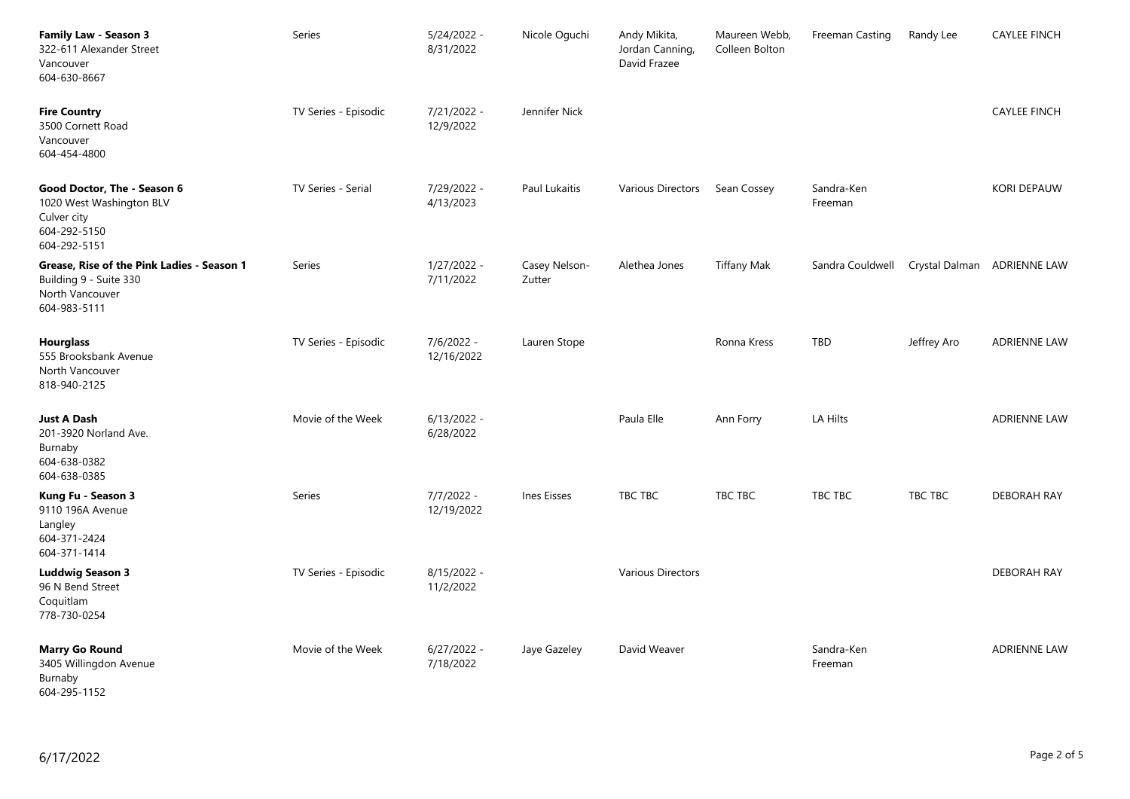| Family Law - Season 3<br>322-611 Alexander Street<br>Vancouver<br>604-630-8667                          | Series               | $5/24/2022 -$<br>8/31/2022 | Nicole Oguchi           | Andy Mikita,<br>Jordan Canning,<br>David Frazee | Maureen Webb,<br>Colleen Bolton | Freeman Casting       | Randy Lee   | <b>CAYLEE FINCH</b>         |
|---------------------------------------------------------------------------------------------------------|----------------------|----------------------------|-------------------------|-------------------------------------------------|---------------------------------|-----------------------|-------------|-----------------------------|
| <b>Fire Country</b><br>3500 Cornett Road<br>Vancouver<br>604-454-4800                                   | TV Series - Episodic | 7/21/2022 -<br>12/9/2022   | Jennifer Nick           |                                                 |                                 |                       |             | <b>CAYLEE FINCH</b>         |
| Good Doctor, The - Season 6<br>1020 West Washington BLV<br>Culver city<br>604-292-5150<br>604-292-5151  | TV Series - Serial   | 7/29/2022 -<br>4/13/2023   | Paul Lukaitis           | Various Directors                               | Sean Cossey                     | Sandra-Ken<br>Freeman |             | <b>KORI DEPAUW</b>          |
| Grease, Rise of the Pink Ladies - Season 1<br>Building 9 - Suite 330<br>North Vancouver<br>604-983-5111 | Series               | 1/27/2022 -<br>7/11/2022   | Casey Nelson-<br>Zutter | Alethea Jones                                   | <b>Tiffany Mak</b>              | Sandra Couldwell      |             | Crystal Dalman ADRIENNE LAW |
| Hourglass<br>555 Brooksbank Avenue<br>North Vancouver<br>818-940-2125                                   | TV Series - Episodic | 7/6/2022 -<br>12/16/2022   | Lauren Stope            |                                                 | Ronna Kress                     | <b>TBD</b>            | Jeffrey Aro | <b>ADRIENNE LAW</b>         |
| Just A Dash<br>201-3920 Norland Ave.<br>Burnaby<br>604-638-0382<br>604-638-0385                         | Movie of the Week    | $6/13/2022 -$<br>6/28/2022 |                         | Paula Elle                                      | Ann Forry                       | LA Hilts              |             | <b>ADRIENNE LAW</b>         |
| Kung Fu - Season 3<br>9110 196A Avenue<br>Langley<br>604-371-2424<br>604-371-1414                       | Series               | $7/7/2022 -$<br>12/19/2022 | Ines Eisses             | TBC TBC                                         | TBC TBC                         | TBC TBC               | TBC TBC     | <b>DEBORAH RAY</b>          |
| <b>Luddwig Season 3</b><br>96 N Bend Street<br>Coquitlam<br>778-730-0254                                | TV Series - Episodic | 8/15/2022 -<br>11/2/2022   |                         | <b>Various Directors</b>                        |                                 |                       |             | <b>DEBORAH RAY</b>          |
| <b>Marry Go Round</b><br>3405 Willingdon Avenue<br>Burnaby<br>604-295-1152                              | Movie of the Week    | $6/27/2022 -$<br>7/18/2022 | Jaye Gazeley            | David Weaver                                    |                                 | Sandra-Ken<br>Freeman |             | <b>ADRIENNE LAW</b>         |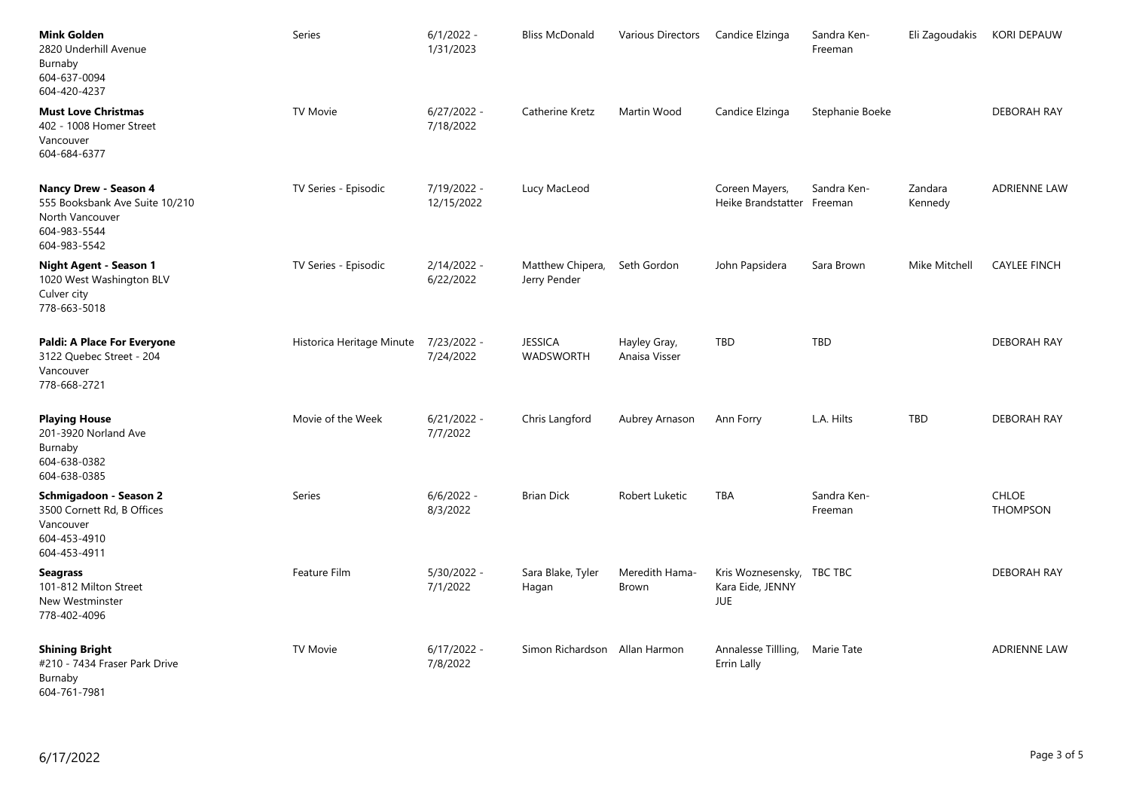| <b>Mink Golden</b><br>2820 Underhill Avenue<br>Burnaby<br>604-637-0094<br>604-420-4237                     | Series                    | $6/1/2022 -$<br>1/31/2023  | <b>Bliss McDonald</b>            | Various Directors             | Candice Elzinga                                             | Sandra Ken-<br>Freeman | Eli Zagoudakis     | <b>KORI DEPAUW</b>              |
|------------------------------------------------------------------------------------------------------------|---------------------------|----------------------------|----------------------------------|-------------------------------|-------------------------------------------------------------|------------------------|--------------------|---------------------------------|
| <b>Must Love Christmas</b><br>402 - 1008 Homer Street<br>Vancouver<br>604-684-6377                         | TV Movie                  | $6/27/2022 -$<br>7/18/2022 | Catherine Kretz                  | Martin Wood                   | Candice Elzinga                                             | Stephanie Boeke        |                    | <b>DEBORAH RAY</b>              |
| Nancy Drew - Season 4<br>555 Booksbank Ave Suite 10/210<br>North Vancouver<br>604-983-5544<br>604-983-5542 | TV Series - Episodic      | 7/19/2022 -<br>12/15/2022  | Lucy MacLeod                     |                               | Coreen Mayers,<br>Heike Brandstatter Freeman                | Sandra Ken-            | Zandara<br>Kennedy | <b>ADRIENNE LAW</b>             |
| <b>Night Agent - Season 1</b><br>1020 West Washington BLV<br>Culver city<br>778-663-5018                   | TV Series - Episodic      | 2/14/2022 -<br>6/22/2022   | Matthew Chipera,<br>Jerry Pender | Seth Gordon                   | John Papsidera                                              | Sara Brown             | Mike Mitchell      | <b>CAYLEE FINCH</b>             |
| Paldi: A Place For Everyone<br>3122 Quebec Street - 204<br>Vancouver<br>778-668-2721                       | Historica Heritage Minute | 7/23/2022 -<br>7/24/2022   | <b>JESSICA</b><br>WADSWORTH      | Hayley Gray,<br>Anaisa Visser | <b>TBD</b>                                                  | <b>TBD</b>             |                    | <b>DEBORAH RAY</b>              |
| Playing House<br>201-3920 Norland Ave<br>Burnaby<br>604-638-0382<br>604-638-0385                           | Movie of the Week         | $6/21/2022 -$<br>7/7/2022  | Chris Langford                   | Aubrey Arnason                | Ann Forry                                                   | L.A. Hilts             | TBD                | <b>DEBORAH RAY</b>              |
| Schmigadoon - Season 2<br>3500 Cornett Rd, B Offices<br>Vancouver<br>604-453-4910<br>604-453-4911          | Series                    | $6/6/2022 -$<br>8/3/2022   | <b>Brian Dick</b>                | Robert Luketic                | TBA                                                         | Sandra Ken-<br>Freeman |                    | <b>CHLOE</b><br><b>THOMPSON</b> |
| <b>Seagrass</b><br>101-812 Milton Street<br>New Westminster<br>778-402-4096                                | Feature Film              | $5/30/2022 -$<br>7/1/2022  | Sara Blake, Tyler<br>Hagan       | Meredith Hama-<br>Brown       | Kris Woznesensky, TBC TBC<br>Kara Eide, JENNY<br><b>JUE</b> |                        |                    | DEBORAH RAY                     |
| <b>Shining Bright</b><br>#210 - 7434 Fraser Park Drive<br>Burnaby<br>604-761-7981                          | <b>TV Movie</b>           | $6/17/2022 -$<br>7/8/2022  | Simon Richardson Allan Harmon    |                               | Annalesse Tillling, Marie Tate<br>Errin Lally               |                        |                    | <b>ADRIENNE LAW</b>             |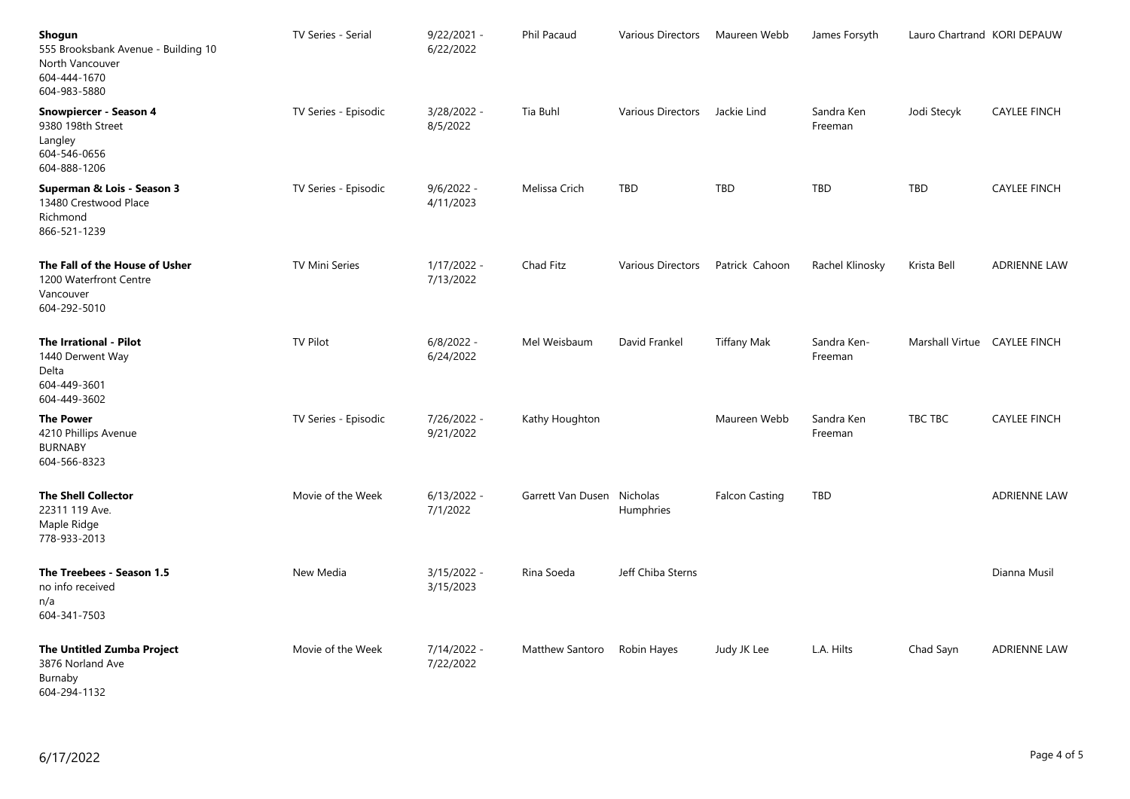| Shogun<br>555 Brooksbank Avenue - Building 10<br>North Vancouver<br>604-444-1670<br>604-983-5880 | TV Series - Serial   | $9/22/2021 -$<br>6/22/2022 | Phil Pacaud                | Various Directors             | Maureen Webb          | James Forsyth          | Lauro Chartrand KORI DEPAUW  |                     |
|--------------------------------------------------------------------------------------------------|----------------------|----------------------------|----------------------------|-------------------------------|-----------------------|------------------------|------------------------------|---------------------|
| Snowpiercer - Season 4<br>9380 198th Street<br>Langley<br>604-546-0656<br>604-888-1206           | TV Series - Episodic | 3/28/2022 -<br>8/5/2022    | Tia Buhl                   | Various Directors Jackie Lind |                       | Sandra Ken<br>Freeman  | Jodi Stecyk                  | <b>CAYLEE FINCH</b> |
| Superman & Lois - Season 3<br>13480 Crestwood Place<br>Richmond<br>866-521-1239                  | TV Series - Episodic | $9/6/2022 -$<br>4/11/2023  | Melissa Crich              | TBD                           | <b>TBD</b>            | <b>TBD</b>             | TBD                          | <b>CAYLEE FINCH</b> |
| The Fall of the House of Usher<br>1200 Waterfront Centre<br>Vancouver<br>604-292-5010            | TV Mini Series       | 1/17/2022 -<br>7/13/2022   | Chad Fitz                  | Various Directors             | Patrick Cahoon        | Rachel Klinosky        | Krista Bell                  | <b>ADRIENNE LAW</b> |
| The Irrational - Pilot<br>1440 Derwent Way<br>Delta<br>604-449-3601<br>604-449-3602              | <b>TV Pilot</b>      | $6/8/2022 -$<br>6/24/2022  | Mel Weisbaum               | David Frankel                 | <b>Tiffany Mak</b>    | Sandra Ken-<br>Freeman | Marshall Virtue CAYLEE FINCH |                     |
| The Power<br>4210 Phillips Avenue<br><b>BURNABY</b><br>604-566-8323                              | TV Series - Episodic | 7/26/2022 -<br>9/21/2022   | Kathy Houghton             |                               | Maureen Webb          | Sandra Ken<br>Freeman  | TBC TBC                      | <b>CAYLEE FINCH</b> |
| <b>The Shell Collector</b><br>22311 119 Ave.<br>Maple Ridge<br>778-933-2013                      | Movie of the Week    | 6/13/2022 -<br>7/1/2022    | Garrett Van Dusen Nicholas | Humphries                     | <b>Falcon Casting</b> | <b>TBD</b>             |                              | <b>ADRIENNE LAW</b> |
| The Treebees - Season 1.5<br>no info received<br>n/a<br>604-341-7503                             | New Media            | 3/15/2022 -<br>3/15/2023   | Rina Soeda                 | Jeff Chiba Sterns             |                       |                        |                              | Dianna Musil        |
| The Untitled Zumba Project<br>3876 Norland Ave<br>Burnaby<br>604-294-1132                        | Movie of the Week    | 7/14/2022 -<br>7/22/2022   | Matthew Santoro            | Robin Hayes                   | Judy JK Lee           | L.A. Hilts             | Chad Sayn                    | <b>ADRIENNE LAW</b> |